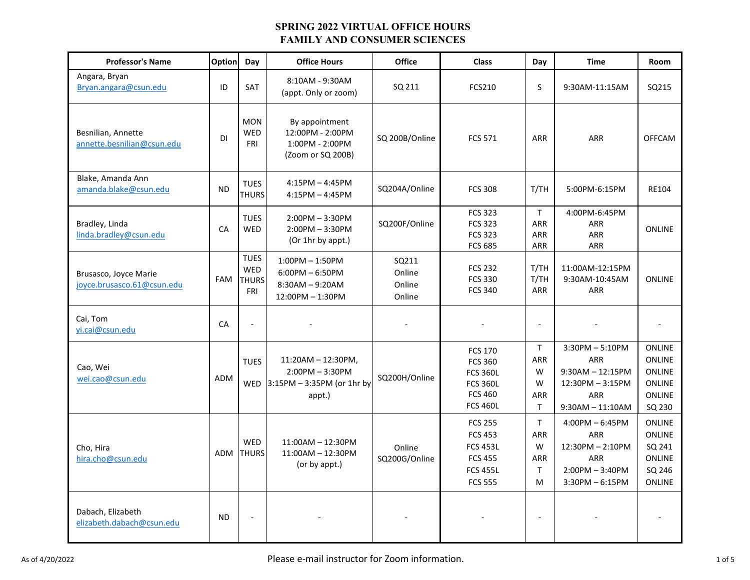| <b>Professor's Name</b>                             | Option     | Day                                                     | <b>Office Hours</b>                                                                       | <b>Office</b>                       | <b>Class</b>                                                                                                | Day                                                         | <b>Time</b>                                                                                            | Room                                                                                        |
|-----------------------------------------------------|------------|---------------------------------------------------------|-------------------------------------------------------------------------------------------|-------------------------------------|-------------------------------------------------------------------------------------------------------------|-------------------------------------------------------------|--------------------------------------------------------------------------------------------------------|---------------------------------------------------------------------------------------------|
| Angara, Bryan<br>Bryan.angara@csun.edu              | ID         | <b>SAT</b>                                              | 8:10AM - 9:30AM<br>(appt. Only or zoom)                                                   | SQ 211                              | <b>FCS210</b>                                                                                               | S                                                           | 9:30AM-11:15AM                                                                                         | SQ215                                                                                       |
| Besnilian, Annette<br>annette.besnilian@csun.edu    | <b>DI</b>  | <b>MON</b><br><b>WED</b><br><b>FRI</b>                  | By appointment<br>12:00PM - 2:00PM<br>1:00PM - 2:00PM<br>(Zoom or SQ 200B)                | SQ 200B/Online                      | <b>FCS 571</b>                                                                                              | <b>ARR</b>                                                  | <b>ARR</b>                                                                                             | <b>OFFCAM</b>                                                                               |
| Blake, Amanda Ann<br>amanda.blake@csun.edu          | <b>ND</b>  | <b>TUES</b><br><b>THURS</b>                             | $4:15PM - 4:45PM$<br>$4:15PM - 4:45PM$                                                    | SQ204A/Online                       | <b>FCS 308</b>                                                                                              | T/TH                                                        | 5:00PM-6:15PM                                                                                          | RE104                                                                                       |
| Bradley, Linda<br>linda.bradley@csun.edu            | CA         | <b>TUES</b><br>WED                                      | $2:00PM - 3:30PM$<br>$2:00PM - 3:30PM$<br>(Or 1hr by appt.)                               | SQ200F/Online                       | <b>FCS 323</b><br><b>FCS 323</b><br><b>FCS 323</b><br><b>FCS 685</b>                                        | $\mathsf{T}$<br><b>ARR</b><br>ARR<br>ARR                    | 4:00PM-6:45PM<br>ARR<br><b>ARR</b><br>ARR                                                              | <b>ONLINE</b>                                                                               |
| Brusasco, Joyce Marie<br>joyce.brusasco.61@csun.edu | FAM        | <b>TUES</b><br><b>WED</b><br><b>THURS</b><br><b>FRI</b> | $1:00PM - 1:50PM$<br>$6:00PM - 6:50PM$<br>$8:30AM - 9:20AM$<br>12:00PM - 1:30PM           | SQ211<br>Online<br>Online<br>Online | <b>FCS 232</b><br><b>FCS 330</b><br><b>FCS 340</b>                                                          | T/TH<br>T/TH<br><b>ARR</b>                                  | 11:00AM-12:15PM<br>9:30AM-10:45AM<br><b>ARR</b>                                                        | <b>ONLINE</b>                                                                               |
| Cai, Tom<br>vi.cai@csun.edu                         | CA         | $\overline{a}$                                          |                                                                                           |                                     |                                                                                                             | $\overline{a}$                                              |                                                                                                        |                                                                                             |
| Cao, Wei<br>wei.cao@csun.edu                        | <b>ADM</b> | <b>TUES</b>                                             | $11:20AM - 12:30PM$ ,<br>$2:00PM - 3:30PM$<br>WED $ 3:15PM - 3:35PM$ (or 1hr by<br>appt.) | SQ200H/Online                       | <b>FCS 170</b><br><b>FCS 360</b><br><b>FCS 360L</b><br><b>FCS 360L</b><br><b>FCS 460</b><br><b>FCS 460L</b> | T<br><b>ARR</b><br>W<br>W<br>ARR<br>$\mathsf{T}$            | $3:30PM - 5:10PM$<br>ARR<br>$9:30AM - 12:15PM$<br>12:30PM - 3:15PM<br><b>ARR</b><br>$9:30AM - 11:10AM$ | <b>ONLINE</b><br><b>ONLINE</b><br><b>ONLINE</b><br><b>ONLINE</b><br><b>ONLINE</b><br>SQ 230 |
| Cho, Hira<br>hira.cho@csun.edu                      | ADM        | <b>WED</b><br><b>THURS</b>                              | $11:00AM - 12:30PM$<br>$11:00AM - 12:30PM$<br>(or by appt.)                               | Online<br>SQ200G/Online             | <b>FCS 255</b><br><b>FCS 453</b><br><b>FCS 453L</b><br><b>FCS 455</b><br><b>FCS 455L</b><br><b>FCS 555</b>  | $\mathsf{T}$<br><b>ARR</b><br>W<br>ARR<br>$\mathsf{T}$<br>M | $4:00PM - 6:45PM$<br><b>ARR</b><br>12:30PM - 2:10PM<br>ARR<br>$2:00PM - 3:40PM$<br>$3:30PM - 6:15PM$   | <b>ONLINE</b><br><b>ONLINE</b><br>SQ 241<br><b>ONLINE</b><br>SQ 246<br>ONLINE               |
| Dabach, Elizabeth<br>elizabeth.dabach@csun.edu      | <b>ND</b>  | $\overline{a}$                                          |                                                                                           |                                     |                                                                                                             | $\overline{\phantom{a}}$                                    |                                                                                                        |                                                                                             |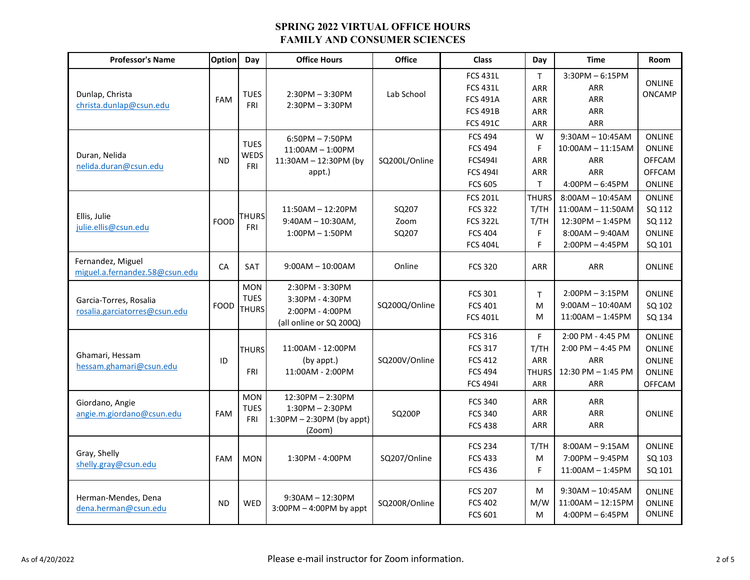| <b>Professor's Name</b>                                 | Option      | Day                                       | <b>Office Hours</b>                                                              | <b>Office</b>          | <b>Class</b>                                                                                | Day                                                 | <b>Time</b>                                                                                               | <b>Room</b>                                                                       |
|---------------------------------------------------------|-------------|-------------------------------------------|----------------------------------------------------------------------------------|------------------------|---------------------------------------------------------------------------------------------|-----------------------------------------------------|-----------------------------------------------------------------------------------------------------------|-----------------------------------------------------------------------------------|
| Dunlap, Christa<br>christa.dunlap@csun.edu              | <b>FAM</b>  | <b>TUES</b><br><b>FRI</b>                 | $2:30PM - 3:30PM$<br>$2:30PM - 3:30PM$                                           | Lab School             | <b>FCS 431L</b><br><b>FCS 431L</b><br><b>FCS 491A</b><br><b>FCS 491B</b><br><b>FCS 491C</b> | T.<br>ARR<br><b>ARR</b><br><b>ARR</b><br><b>ARR</b> | $3:30PM - 6:15PM$<br><b>ARR</b><br>ARR<br><b>ARR</b><br>ARR                                               | <b>ONLINE</b><br><b>ONCAMP</b>                                                    |
| Duran, Nelida<br>nelida.duran@csun.edu                  | <b>ND</b>   | <b>TUES</b><br><b>WEDS</b><br>FRI         | $6:50PM - 7:50PM$<br>$11:00AM - 1:00PM$<br>$11:30AM - 12:30PM$ (by<br>appt.)     | SQ200L/Online          | <b>FCS 494</b><br><b>FCS 494</b><br><b>FCS4941</b><br><b>FCS 4941</b><br><b>FCS 605</b>     | W<br>F<br><b>ARR</b><br><b>ARR</b><br>T.            | $9:30AM - 10:45AM$<br>$10:00AM - 11:15AM$<br><b>ARR</b><br><b>ARR</b><br>$4:00PM - 6:45PM$                | <b>ONLINE</b><br><b>ONLINE</b><br><b>OFFCAM</b><br><b>OFFCAM</b><br><b>ONLINE</b> |
| Ellis, Julie<br>julie.ellis@csun.edu                    | <b>FOOD</b> | <b>THURS</b><br><b>FRI</b>                | 11:50AM - 12:20PM<br>$9:40AM - 10:30AM$ ,<br>$1:00PM - 1:50PM$                   | SQ207<br>Zoom<br>SQ207 | <b>FCS 201L</b><br><b>FCS 322</b><br><b>FCS 322L</b><br><b>FCS 404</b><br><b>FCS 404L</b>   | <b>THURS</b><br>T/TH<br>T/TH<br>F<br>F              | $8:00AM - 10:45AM$<br>$11:00AM - 11:50AM$<br>$12:30PM - 1:45PM$<br>$8:00AM - 9:40AM$<br>$2:00PM - 4:45PM$ | <b>ONLINE</b><br>SQ 112<br>SQ 112<br><b>ONLINE</b><br>SQ 101                      |
| Fernandez, Miguel<br>miguel.a.fernandez.58@csun.edu     | CA          | <b>SAT</b>                                | $9:00AM - 10:00AM$                                                               | Online                 | <b>FCS 320</b>                                                                              | <b>ARR</b>                                          | <b>ARR</b>                                                                                                | <b>ONLINE</b>                                                                     |
| Garcia-Torres, Rosalia<br>rosalia.garciatorres@csun.edu | <b>FOOD</b> | <b>MON</b><br><b>TUES</b><br><b>THURS</b> | 2:30PM - 3:30PM<br>3:30PM - 4:30PM<br>2:00PM - 4:00PM<br>(all online or SQ 200Q) | SQ200Q/Online          | <b>FCS 301</b><br><b>FCS 401</b><br><b>FCS 401L</b>                                         | $\mathsf{T}$<br>M<br>M                              | $2:00PM - 3:15PM$<br>$9:00AM - 10:40AM$<br>$11:00AM - 1:45PM$                                             | <b>ONLINE</b><br>SQ 102<br>SQ 134                                                 |
| Ghamari, Hessam<br>hessam.ghamari@csun.edu              | ID          | <b>THURS</b><br><b>FRI</b>                | 11:00AM - 12:00PM<br>(by appt.)<br>11:00AM - 2:00PM                              | SQ200V/Online          | <b>FCS 316</b><br><b>FCS 317</b><br><b>FCS 412</b><br><b>FCS 494</b><br><b>FCS 4941</b>     | F<br>T/TH<br>ARR<br><b>THURS</b><br><b>ARR</b>      | 2:00 PM - 4:45 PM<br>$2:00$ PM $-$ 4:45 PM<br><b>ARR</b><br>12:30 PM - 1:45 PM<br><b>ARR</b>              | <b>ONLINE</b><br><b>ONLINE</b><br><b>ONLINE</b><br><b>ONLINE</b><br><b>OFFCAM</b> |
| Giordano, Angie<br>angie.m.giordano@csun.edu            | <b>FAM</b>  | <b>MON</b><br><b>TUES</b><br><b>FRI</b>   | 12:30PM - 2:30PM<br>$1:30PM - 2:30PM$<br>$1:30PM - 2:30PM$ (by appt)<br>(Zoom)   | SQ200P                 | <b>FCS 340</b><br><b>FCS 340</b><br><b>FCS 438</b>                                          | <b>ARR</b><br><b>ARR</b><br><b>ARR</b>              | <b>ARR</b><br><b>ARR</b><br>ARR                                                                           | <b>ONLINE</b>                                                                     |
| Gray, Shelly<br>shelly.gray@csun.edu                    | <b>FAM</b>  | <b>MON</b>                                | 1:30PM - 4:00PM                                                                  | SQ207/Online           | <b>FCS 234</b><br><b>FCS 433</b><br><b>FCS 436</b>                                          | T/TH<br>M<br>F                                      | $8:00AM - 9:15AM$<br>$7:00PM - 9:45PM$<br>$11:00AM - 1:45PM$                                              | <b>ONLINE</b><br>SQ 103<br>SQ 101                                                 |
| Herman-Mendes, Dena<br>dena.herman@csun.edu             | <b>ND</b>   | <b>WED</b>                                | $9:30AM - 12:30PM$<br>$3:00PM - 4:00PM$ by appt                                  | SQ200R/Online          | <b>FCS 207</b><br><b>FCS 402</b><br><b>FCS 601</b>                                          | M<br>M/W<br>M                                       | $9:30AM - 10:45AM$<br>$11:00AM - 12:15PM$<br>$4:00PM - 6:45PM$                                            | <b>ONLINE</b><br><b>ONLINE</b><br><b>ONLINE</b>                                   |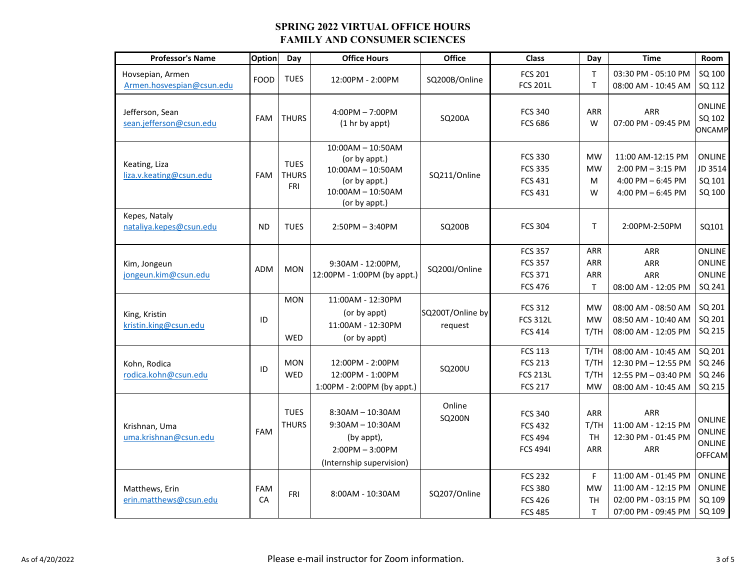| <b>Professor's Name</b>                       | <b>Option</b> | Day                                       | <b>Office Hours</b>                                                                                                  | Office                      | <b>Class</b>                                                          | Day                                        | <b>Time</b>                                                                              | <b>Room</b>                                                      |
|-----------------------------------------------|---------------|-------------------------------------------|----------------------------------------------------------------------------------------------------------------------|-----------------------------|-----------------------------------------------------------------------|--------------------------------------------|------------------------------------------------------------------------------------------|------------------------------------------------------------------|
| Hovsepian, Armen<br>Armen.hosvespian@csun.edu | <b>FOOD</b>   | <b>TUES</b>                               | 12:00PM - 2:00PM                                                                                                     | SQ200B/Online               | <b>FCS 201</b><br><b>FCS 201L</b>                                     | T<br>T.                                    | 03:30 PM - 05:10 PM<br>08:00 AM - 10:45 AM                                               | SQ 100<br>SQ 112                                                 |
| Jefferson, Sean<br>sean.jefferson@csun.edu    | <b>FAM</b>    | <b>THURS</b>                              | $4:00PM - 7:00PM$<br>(1 hr by appt)                                                                                  | SQ200A                      | <b>FCS 340</b><br><b>FCS 686</b>                                      | <b>ARR</b><br>W                            | ARR<br>07:00 PM - 09:45 PM                                                               | <b>ONLINE</b><br>SQ 102<br><b>ONCAMP</b>                         |
| Keating, Liza<br>liza.v.keating@csun.edu      | <b>FAM</b>    | <b>TUES</b><br><b>THURS</b><br><b>FRI</b> | $10:00AM - 10:50AM$<br>(or by appt.)<br>$10:00AM - 10:50AM$<br>(or by appt.)<br>$10:00AM - 10:50AM$<br>(or by appt.) | SQ211/Online                | <b>FCS 330</b><br><b>FCS 335</b><br><b>FCS 431</b><br><b>FCS 431</b>  | <b>MW</b><br><b>MW</b><br>M<br>W           | 11:00 AM-12:15 PM<br>$2:00$ PM $-3:15$ PM<br>4:00 PM $-$ 6:45 PM<br>4:00 PM $-6:45$ PM   | <b>ONLINE</b><br>JD 3514<br>SQ 101<br>SQ 100                     |
| Kepes, Nataly<br>nataliya.kepes@csun.edu      | <b>ND</b>     | <b>TUES</b>                               | $2:50PM - 3:40PM$                                                                                                    | SQ200B                      | <b>FCS 304</b>                                                        | T                                          | 2:00PM-2:50PM                                                                            | SQ101                                                            |
| Kim, Jongeun<br>jongeun.kim@csun.edu          | <b>ADM</b>    | <b>MON</b>                                | 9:30AM - 12:00PM,<br>12:00PM - 1:00PM (by appt.)                                                                     | SQ200J/Online               | <b>FCS 357</b><br><b>FCS 357</b><br><b>FCS 371</b><br><b>FCS 476</b>  | ARR<br>ARR<br><b>ARR</b><br>T              | <b>ARR</b><br>ARR<br>ARR<br>08:00 AM - 12:05 PM                                          | <b>ONLINE</b><br><b>ONLINE</b><br>ONLINE<br>SQ 241               |
| King, Kristin<br>kristin.king@csun.edu        | ID            | <b>MON</b><br><b>WED</b>                  | 11:00AM - 12:30PM<br>(or by appt)<br>11:00AM - 12:30PM<br>(or by appt)                                               | SQ200T/Online by<br>request | <b>FCS 312</b><br><b>FCS 312L</b><br><b>FCS 414</b>                   | MW<br><b>MW</b><br>T/TH                    | 08:00 AM - 08:50 AM<br>08:50 AM - 10:40 AM<br>08:00 AM - 12:05 PM                        | SQ 201<br>SQ 201<br>SQ 215                                       |
| Kohn, Rodica<br>rodica.kohn@csun.edu          | ID            | <b>MON</b><br>WED                         | 12:00PM - 2:00PM<br>12:00PM - 1:00PM<br>1:00PM - 2:00PM (by appt.)                                                   | SQ200U                      | <b>FCS 113</b><br><b>FCS 213</b><br><b>FCS 213L</b><br><b>FCS 217</b> | T/TH<br>T/TH<br>T/TH<br><b>MW</b>          | 08:00 AM - 10:45 AM<br>12:30 PM - 12:55 PM<br>12:55 PM - 03:40 PM<br>08:00 AM - 10:45 AM | SQ 201<br>SQ 246<br>SQ 246<br>SQ 215                             |
| Krishnan, Uma<br>uma.krishnan@csun.edu        | <b>FAM</b>    | <b>TUES</b><br><b>THURS</b>               | $8:30AM - 10:30AM$<br>$9:30AM - 10:30AM$<br>(by appt),<br>$2:00PM - 3:00PM$<br>(Internship supervision)              | Online<br>SQ200N            | <b>FCS 340</b><br><b>FCS 432</b><br><b>FCS 494</b><br><b>FCS 4941</b> | ARR<br>T/TH<br><b>TH</b><br><b>ARR</b>     | ARR<br>11:00 AM - 12:15 PM<br>12:30 PM - 01:45 PM<br>ARR                                 | <b>ONLINE</b><br><b>ONLINE</b><br><b>ONLINE</b><br><b>OFFCAM</b> |
| Matthews, Erin<br>erin.matthews@csun.edu      | FAM<br>CA     | <b>FRI</b>                                | 8:00AM - 10:30AM                                                                                                     | SQ207/Online                | <b>FCS 232</b><br><b>FCS 380</b><br><b>FCS 426</b><br><b>FCS 485</b>  | F<br><b>MW</b><br><b>TH</b><br>$\mathsf T$ | 11:00 AM - 01:45 PM<br>11:00 AM - 12:15 PM<br>02:00 PM - 03:15 PM<br>07:00 PM - 09:45 PM | ONLINE<br><b>ONLINE</b><br>SQ 109<br>SQ 109                      |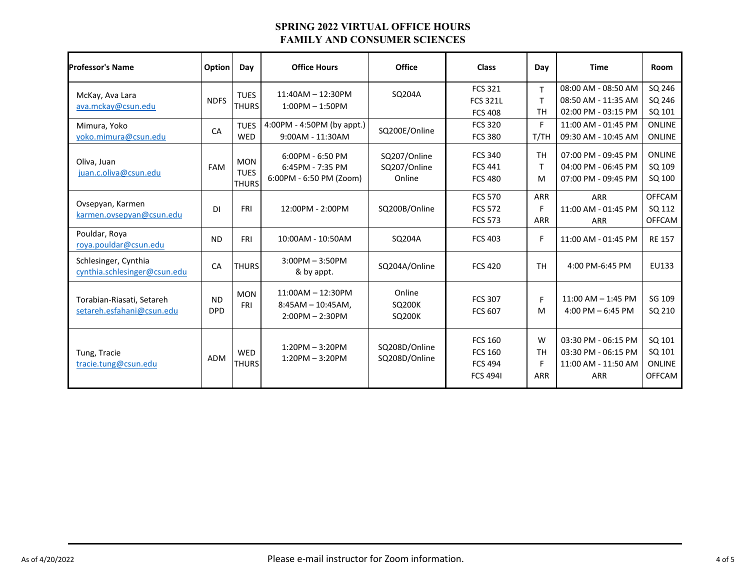| <b>Professor's Name</b>                                | Option                  | Day                                       | <b>Office Hours</b>                                              | <b>Office</b>                            | <b>Class</b>                                                          | Day                               | <b>Time</b>                                                                     | <b>Room</b>                                        |
|--------------------------------------------------------|-------------------------|-------------------------------------------|------------------------------------------------------------------|------------------------------------------|-----------------------------------------------------------------------|-----------------------------------|---------------------------------------------------------------------------------|----------------------------------------------------|
| McKay, Ava Lara<br>ava.mckay@csun.edu                  | <b>NDFS</b>             | <b>TUES</b><br><b>THURS</b>               | $11:40AM - 12:30PM$<br>$1:00PM - 1:50PM$                         | SQ204A                                   | <b>FCS 321</b><br><b>FCS 321L</b><br><b>FCS 408</b>                   | T<br>$\mathsf{T}$<br><b>TH</b>    | 08:00 AM - 08:50 AM<br>08:50 AM - 11:35 AM<br>02:00 PM - 03:15 PM               | SQ 246<br>SQ 246<br>SQ 101                         |
| Mimura, Yoko<br>yoko.mimura@csun.edu                   | CA                      | <b>TUES</b><br><b>WED</b>                 | 4:00PM - 4:50PM (by appt.)<br>9:00AM - 11:30AM                   | SQ200E/Online                            | <b>FCS 320</b><br><b>FCS 380</b>                                      | F<br>T/TH                         | 11:00 AM - 01:45 PM<br>09:30 AM - 10:45 AM                                      | <b>ONLINE</b><br><b>ONLINE</b>                     |
| Oliva, Juan<br>juan.c.oliva@csun.edu                   | FAM                     | <b>MON</b><br><b>TUES</b><br><b>THURS</b> | $6:00PM - 6:50PM$<br>6:45PM - 7:35 PM<br>6:00PM - 6:50 PM (Zoom) | SQ207/Online<br>SQ207/Online<br>Online   | <b>FCS 340</b><br><b>FCS 441</b><br><b>FCS 480</b>                    | <b>TH</b><br>$\mathsf{T}$<br>M    | 07:00 PM - 09:45 PM<br>04:00 PM - 06:45 PM<br>07:00 PM - 09:45 PM               | <b>ONLINE</b><br>SQ 109<br>SQ 100                  |
| Ovsepyan, Karmen<br>karmen.ovsepyan@csun.edu           | DI                      | <b>FRI</b>                                | 12:00PM - 2:00PM                                                 | SQ200B/Online                            | <b>FCS 570</b><br><b>FCS 572</b><br><b>FCS 573</b>                    | ARR<br>F<br><b>ARR</b>            | <b>ARR</b><br>11:00 AM - 01:45 PM<br>ARR                                        | <b>OFFCAM</b><br>SQ 112<br><b>OFFCAM</b>           |
| Pouldar, Roya<br>roya.pouldar@csun.edu                 | <b>ND</b>               | FRI                                       | 10:00AM - 10:50AM                                                | SQ204A                                   | <b>FCS 403</b>                                                        | F                                 | 11:00 AM - 01:45 PM                                                             | <b>RE 157</b>                                      |
| Schlesinger, Cynthia<br>cynthia.schlesinger@csun.edu   | CA                      | <b>THURS</b>                              | $3:00PM - 3:50PM$<br>& by appt.                                  | SQ204A/Online                            | <b>FCS 420</b>                                                        | <b>TH</b>                         | 4:00 PM-6:45 PM                                                                 | EU133                                              |
| Torabian-Riasati, Setareh<br>setareh.esfahani@csun.edu | <b>ND</b><br><b>DPD</b> | <b>MON</b><br><b>FRI</b>                  | $11:00AM - 12:30PM$<br>$8:45AM - 10:45AM$ ,<br>$2:00PM - 2:30PM$ | Online<br><b>SQ200K</b><br><b>SQ200K</b> | <b>FCS 307</b><br><b>FCS 607</b>                                      | F<br>M                            | 11:00 AM - 1:45 PM<br>4:00 PM $-$ 6:45 PM                                       | SG 109<br>SQ 210                                   |
| Tung, Tracie<br>tracie.tung@csun.edu                   | ADM                     | <b>WED</b><br><b>THURS</b>                | $1:20PM - 3:20PM$<br>$1:20PM - 3:20PM$                           | SQ208D/Online<br>SQ208D/Online           | <b>FCS 160</b><br><b>FCS 160</b><br><b>FCS 494</b><br><b>FCS 4941</b> | W<br><b>TH</b><br>F<br><b>ARR</b> | 03:30 PM - 06:15 PM<br>03:30 PM - 06:15 PM<br>11:00 AM - 11:50 AM<br><b>ARR</b> | SQ 101<br>SQ 101<br><b>ONLINE</b><br><b>OFFCAM</b> |